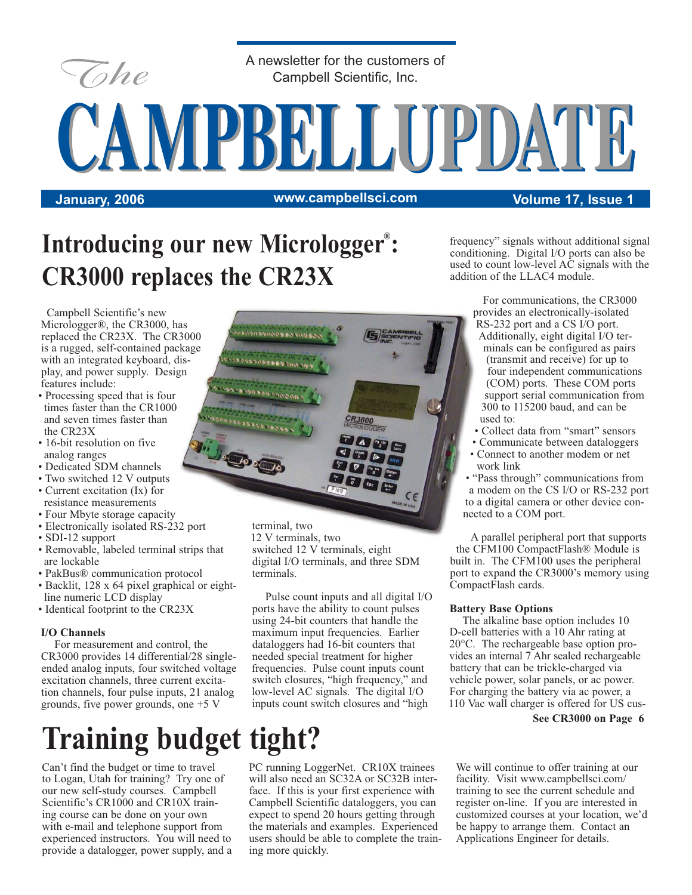

A newsletter for the customers of Campbell Scientific, Inc.

**January, 2006 Volume 17, Issue 1 www.campbellsci.com**

CAMPBELLUPDATE

### Introducing our new Micrologger<sup>®</sup>: **CR3000 replaces the CR23X**

Campbell Scientific's new Micrologger®, the CR3000, has replaced the CR23X. The CR3000 is a rugged, self-contained package with an integrated keyboard, display, and power supply. Design features include:

- Processing speed that is four times faster than the CR1000 and seven times faster than the CR23X
- 16-bit resolution on five analog ranges
- Dedicated SDM channels
- Two switched 12 V outputs
- Current excitation (Ix) for resistance measurements
- Four Mbyte storage capacity
- Electronically isolated RS-232 port
- SDI-12 support
- Removable, labeled terminal strips that are lockable
- PakBus® communication protocol
- Backlit, 128 x 64 pixel graphical or eight line numeric LCD display
- Identical footprint to the CR23X

#### **I/O Channels**

For measurement and control, the CR3000 provides 14 differential/28 singleended analog inputs, four switched voltage excitation channels, three current excitation channels, four pulse inputs, 21 analog grounds, five power grounds, one +5 V

# **Training budget tight?**

Can't find the budget or time to travel to Logan, Utah for training? Try one of our new self-study courses. Campbell Scientific's CR1000 and CR10X training course can be done on your own with e-mail and telephone support from experienced instructors. You will need to provide a datalogger, power supply, and a



terminal, two 12 V terminals, two switched 12 V terminals, eight digital I/O terminals, and three SDM terminals.

Pulse count inputs and all digital I/O ports have the ability to count pulses using 24-bit counters that handle the maximum input frequencies. Earlier dataloggers had 16-bit counters that needed special treatment for higher frequencies. Pulse count inputs count switch closures, "high frequency," and low-level AC signals. The digital I/O inputs count switch closures and "high

PC running LoggerNet. CR10X trainees will also need an SC32A or SC32B interface. If this is your first experience with Campbell Scientific dataloggers, you can expect to spend 20 hours getting through the materials and examples. Experienced users should be able to complete the training more quickly.

frequency" signals without additional signal conditioning. Digital I/O ports can also be used to count low-level AC signals with the addition of the LLAC4 module.

> For communications, the CR3000 provides an electronically-isolated RS-232 port and a CS I/O port. Additionally, eight digital I/O ter-

- minals can be configured as pairs (transmit and receive) for up to four independent communications (COM) ports. These COM ports support serial communication from 300 to 115200 baud, and can be used to:
- Collect data from "smart" sensors
- Communicate between dataloggers
- Connect to another modem or net work link
- "Pass through" communications from a modem on the CS I/O or RS-232 port to a digital camera or other device connected to a COM port.

A parallel peripheral port that supports the CFM100 CompactFlash® Module is built in. The CFM100 uses the peripheral port to expand the CR3000's memory using CompactFlash cards.

#### **Battery Base Options**

The alkaline base option includes 10 D-cell batteries with a 10 Ahr rating at 20°C. The rechargeable base option provides an internal 7 Ahr sealed rechargeable battery that can be trickle-charged via vehicle power, solar panels, or ac power. For charging the battery via ac power, a 110 Vac wall charger is offered for US cus-

#### **See CR3000 on Page 6**

We will continue to offer training at our facility. Visit www.campbellsci.com/ training to see the current schedule and register on-line. If you are interested in customized courses at your location, we'd be happy to arrange them. Contact an Applications Engineer for details.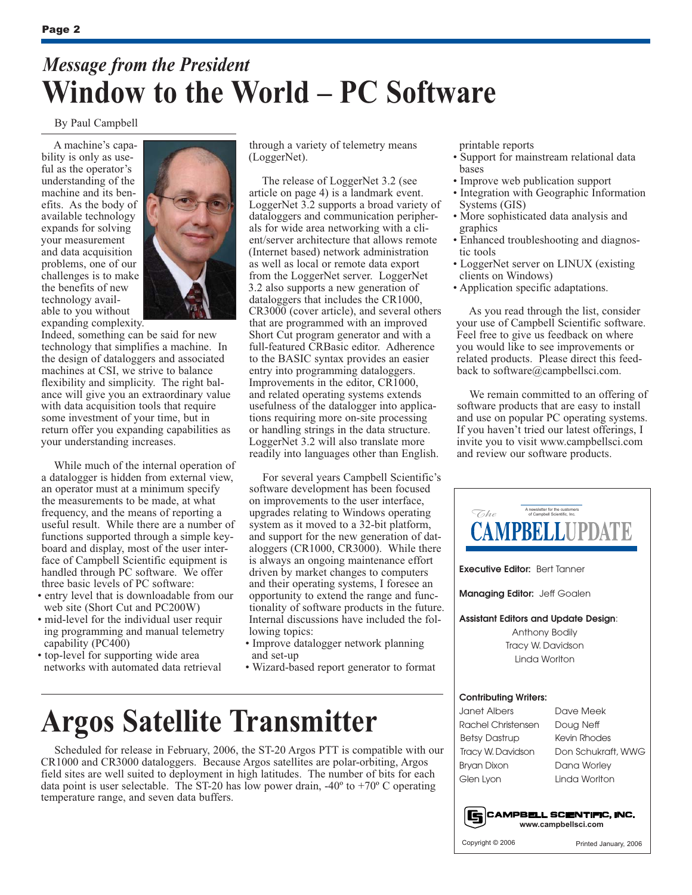### *Message from the President* **Window to the World – PC Software**

#### By Paul Campbell

A machine's capability is only as useful as the operator's understanding of the machine and its benefits. As the body of available technology expands for solving your measurement and data acquisition problems, one of our challenges is to make the benefits of new technology available to you without expanding complexity.



Indeed, something can be said for new technology that simplifies a machine. In the design of dataloggers and associated machines at CSI, we strive to balance flexibility and simplicity. The right balance will give you an extraordinary value with data acquisition tools that require some investment of your time, but in return offer you expanding capabilities as your understanding increases.

While much of the internal operation of a datalogger is hidden from external view, an operator must at a minimum specify the measurements to be made, at what frequency, and the means of reporting a useful result. While there are a number of functions supported through a simple keyboard and display, most of the user interface of Campbell Scientific equipment is handled through PC software. We offer three basic levels of PC software:

- entry level that is downloadable from our web site (Short Cut and PC200W)
- mid-level for the individual user requir ing programming and manual telemetry capability (PC400)
- top-level for supporting wide area networks with automated data retrieval

through a variety of telemetry means (LoggerNet).

The release of LoggerNet 3.2 (see article on page 4) is a landmark event. LoggerNet 3.2 supports a broad variety of dataloggers and communication peripherals for wide area networking with a client/server architecture that allows remote (Internet based) network administration as well as local or remote data export from the LoggerNet server. LoggerNet 3.2 also supports a new generation of dataloggers that includes the CR1000, CR3000 (cover article), and several others that are programmed with an improved Short Cut program generator and with a full-featured CRBasic editor. Adherence to the BASIC syntax provides an easier entry into programming dataloggers. Improvements in the editor, CR1000, and related operating systems extends usefulness of the datalogger into applications requiring more on-site processing or handling strings in the data structure. LoggerNet 3.2 will also translate more readily into languages other than English.

For several years Campbell Scientific's software development has been focused on improvements to the user interface, upgrades relating to Windows operating system as it moved to a 32-bit platform, and support for the new generation of dataloggers (CR1000, CR3000). While there is always an ongoing maintenance effort driven by market changes to computers and their operating systems, I foresee an opportunity to extend the range and functionality of software products in the future. Internal discussions have included the following topics:

- Improve datalogger network planning and set-up
- Wizard-based report generator to format

## **Argos Satellite Transmitter**

Scheduled for release in February, 2006, the ST-20 Argos PTT is compatible with our CR1000 and CR3000 dataloggers. Because Argos satellites are polar-orbiting, Argos field sites are well suited to deployment in high latitudes. The number of bits for each data point is user selectable. The ST-20 has low power drain,  $-40^{\circ}$  to  $+70^{\circ}$  C operating temperature range, and seven data buffers.

printable reports

- Support for mainstream relational data bases
- Improve web publication support
- Integration with Geographic Information Systems (GIS)
- More sophisticated data analysis and graphics
- Enhanced troubleshooting and diagnos tic tools
- LoggerNet server on LINUX (existing clients on Windows)
- Application specific adaptations.

As you read through the list, consider your use of Campbell Scientific software. Feel free to give us feedback on where you would like to see improvements or related products. Please direct this feedback to software@campbellsci.com.

We remain committed to an offering of software products that are easy to install and use on popular PC operating systems. If you haven't tried our latest offerings, I invite you to visit www.campbellsci.com and review our software products.

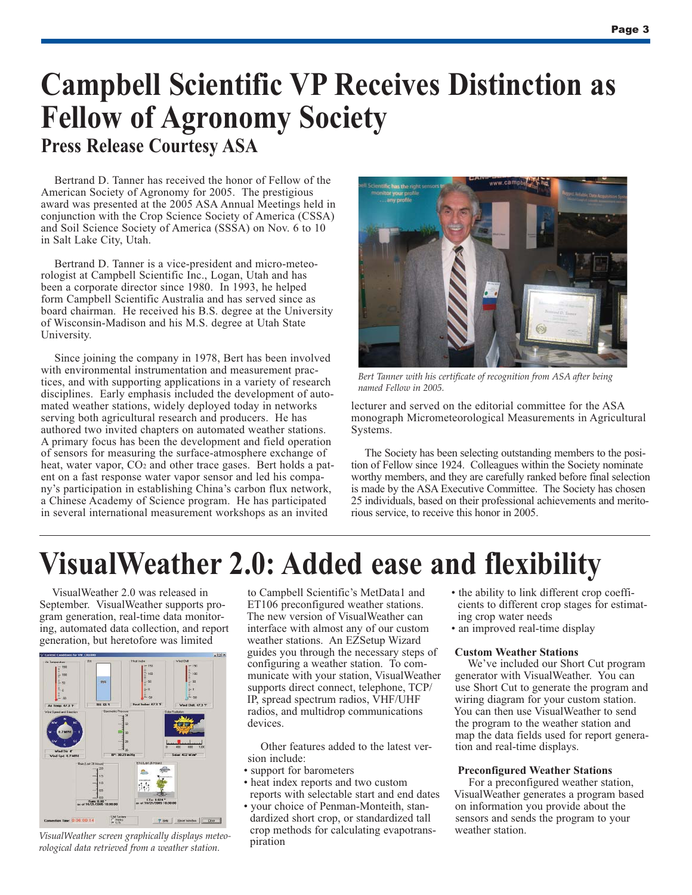### **Campbell Scientific VP Receives Distinction as Fellow of Agronomy Society Press Release Courtesy ASA**

Bertrand D. Tanner has received the honor of Fellow of the American Society of Agronomy for 2005. The prestigious award was presented at the 2005 ASA Annual Meetings held in conjunction with the Crop Science Society of America (CSSA) and Soil Science Society of America (SSSA) on Nov. 6 to 10 in Salt Lake City, Utah.

Bertrand D. Tanner is a vice-president and micro-meteorologist at Campbell Scientific Inc., Logan, Utah and has been a corporate director since 1980. In 1993, he helped form Campbell Scientific Australia and has served since as board chairman. He received his B.S. degree at the University of Wisconsin-Madison and his M.S. degree at Utah State University.

Since joining the company in 1978, Bert has been involved with environmental instrumentation and measurement practices, and with supporting applications in a variety of research disciplines. Early emphasis included the development of automated weather stations, widely deployed today in networks serving both agricultural research and producers. He has authored two invited chapters on automated weather stations. A primary focus has been the development and field operation of sensors for measuring the surface-atmosphere exchange of heat, water vapor, CO<sub>2</sub> and other trace gases. Bert holds a patent on a fast response water vapor sensor and led his company's participation in establishing China's carbon flux network, a Chinese Academy of Science program. He has participated in several international measurement workshops as an invited



*Bert Tanner with his certificate of recognition from ASA after being named Fellow in 2005.*

lecturer and served on the editorial committee for the ASA monograph Micrometeorological Measurements in Agricultural Systems.

The Society has been selecting outstanding members to the position of Fellow since 1924. Colleagues within the Society nominate worthy members, and they are carefully ranked before final selection is made by the ASA Executive Committee. The Society has chosen 25 individuals, based on their professional achievements and meritorious service, to receive this honor in 2005.

## **VisualWeather 2.0: Added ease and flexibility**

VisualWeather 2.0 was released in September. VisualWeather supports program generation, real-time data monitoring, automated data collection, and report generation, but heretofore was limited



*VisualWeather screen graphically displays meteorological data retrieved from a weather station.*

to Campbell Scientific's MetData1 and ET106 preconfigured weather stations. The new version of VisualWeather can interface with almost any of our custom weather stations. An EZSetup Wizard guides you through the necessary steps of configuring a weather station. To communicate with your station, VisualWeather supports direct connect, telephone, TCP/ IP, spread spectrum radios, VHF/UHF radios, and multidrop communications devices.

Other features added to the latest version include:

- support for barometers
- heat index reports and two custom reports with selectable start and end dates

• your choice of Penman-Monteith, stan dardized short crop, or standardized tall crop methods for calculating evapotrans piration

- the ability to link different crop coeffi cients to different crop stages for estimat ing crop water needs
- an improved real-time display

#### **Custom Weather Stations**

We've included our Short Cut program generator with VisualWeather. You can use Short Cut to generate the program and wiring diagram for your custom station. You can then use VisualWeather to send the program to the weather station and map the data fields used for report generation and real-time displays.

#### **Preconfigured Weather Stations**

For a preconfigured weather station, VisualWeather generates a program based on information you provide about the sensors and sends the program to your weather station.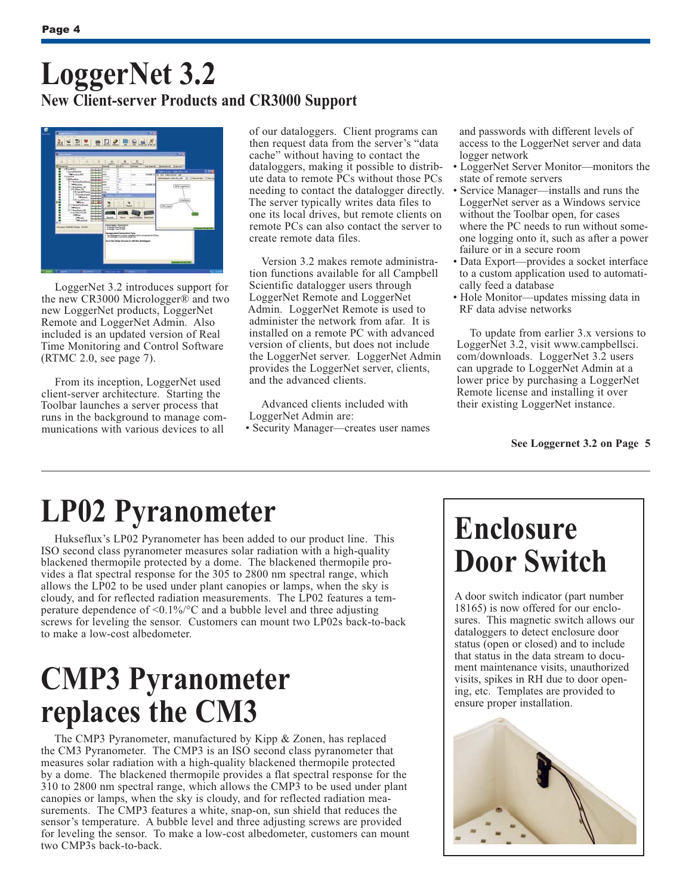### **LoggerNet 3.2 New Client-server Products and CR3000 Support**



LoggerNet 3.2 introduces support for the new CR3000 Micrologger® and two new LoggerNet products, LoggerNet Remote and LoggerNet Admin. Also included is an updated version of Real Time Monitoring and Control Software (RTMC 2.0, see page 7).

From its inception, LoggerNet used client-server architecture. Starting the Toolbar launches a server process that runs in the background to manage communications with various devices to all

of our dataloggers. Client programs can then request data from the server's "data cache" without having to contact the dataloggers, making it possible to distribute data to remote PCs without those PCs needing to contact the datalogger directly. The server typically writes data files to one its local drives, but remote clients on remote PCs can also contact the server to create remote data files.

Version 3.2 makes remote administration functions available for all Campbell Scientific datalogger users through LoggerNet Remote and LoggerNet Admin. LoggerNet Remote is used to administer the network from afar. It is installed on a remote PC with advanced version of clients, but does not include the LoggerNet server. LoggerNet Admin provides the LoggerNet server, clients, and the advanced clients.

Advanced clients included with LoggerNet Admin are:

• Security Manager—creates user names

 and passwords with different levels of access to the LoggerNet server and data logger network

- LoggerNet Server Monitor—monitors the state of remote servers
- Service Manager—installs and runs the LoggerNet server as a Windows service without the Toolbar open, for cases where the PC needs to run without some one logging onto it, such as after a power failure or in a secure room
- Data Export—provides a socket interface to a custom application used to automati cally feed a database
- Hole Monitor—updates missing data in RF data advise networks

To update from earlier 3.x versions to LoggerNet 3.2, visit www.campbellsci. com/downloads. LoggerNet 3.2 users can upgrade to LoggerNet Admin at a lower price by purchasing a LoggerNet Remote license and installing it over their existing LoggerNet instance.

#### **See Loggernet 3.2 on Page 5**

### **LP02 Pyranometer**

Hukseflux's LP02 Pyranometer has been added to our product line. This ISO second class pyranometer measures solar radiation with a high-quality blackened thermopile protected by a dome. The blackened thermopile provides a flat spectral response for the 305 to 2800 nm spectral range, which allows the LP02 to be used under plant canopies or lamps, when the sky is cloudy, and for reflected radiation measurements. The LP02 features a temperature dependence of  $\leq 0.1\%$  occurs and a bubble level and three adjusting screws for leveling the sensor. Customers can mount two LP02s back-to-back to make a low-cost albedometer.

### **CMP3 Pyranometer replaces the CM3**

The CMP3 Pyranometer, manufactured by Kipp & Zonen, has replaced the CM3 Pyranometer. The CMP3 is an ISO second class pyranometer that measures solar radiation with a high-quality blackened thermopile protected by a dome. The blackened thermopile provides a flat spectral response for the 310 to 2800 nm spectral range, which allows the CMP3 to be used under plant canopies or lamps, when the sky is cloudy, and for reflected radiation measurements. The CMP3 features a white, snap-on, sun shield that reduces the sensor's temperature. A bubble level and three adjusting screws are provided for leveling the sensor. To make a low-cost albedometer, customers can mount two CMP3s back-to-back.

# **Enclosure Door Switch**

A door switch indicator (part number 18165) is now offered for our enclosures. This magnetic switch allows our dataloggers to detect enclosure door status (open or closed) and to include that status in the data stream to document maintenance visits, unauthorized visits, spikes in RH due to door opening, etc. Templates are provided to ensure proper installation.

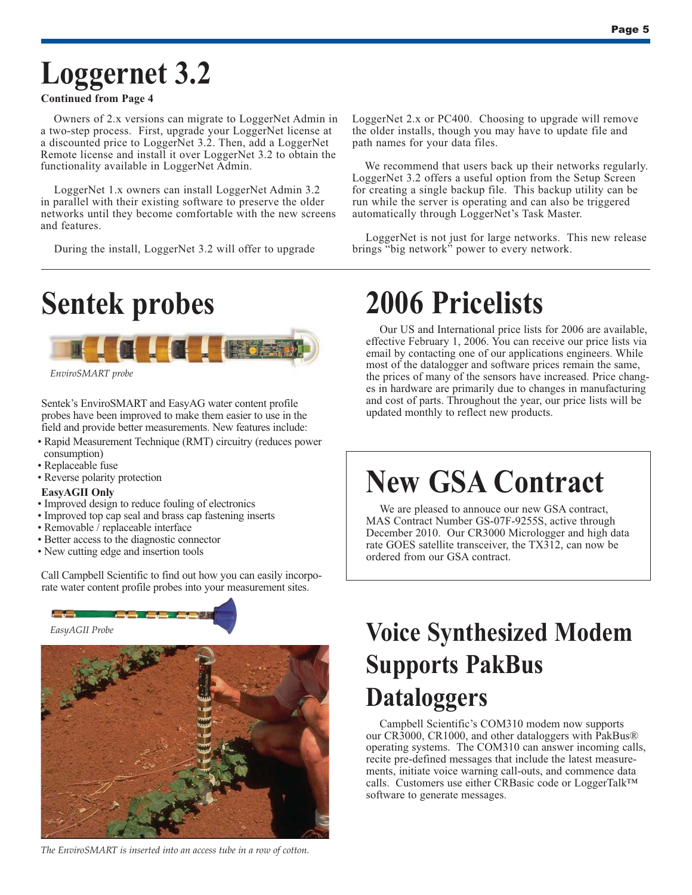## **Loggernet 3.2**

#### **Continued from Page 4**

Owners of 2.x versions can migrate to LoggerNet Admin in a two-step process. First, upgrade your LoggerNet license at a discounted price to LoggerNet 3.2. Then, add a LoggerNet Remote license and install it over LoggerNet 3.2 to obtain the functionality available in LoggerNet Admin.

LoggerNet 1.x owners can install LoggerNet Admin 3.2 in parallel with their existing software to preserve the older networks until they become comfortable with the new screens and features.

During the install, LoggerNet 3.2 will offer to upgrade



*EnviroSMART probe*

Sentek's EnviroSMART and EasyAG water content profile probes have been improved to make them easier to use in the field and provide better measurements. New features include:

- Rapid Measurement Technique (RMT) circuitry (reduces power consumption)
- Replaceable fuse
- Reverse polarity protection

#### **EasyAGII Only**

- Improved design to reduce fouling of electronics
- Improved top cap seal and brass cap fastening inserts
- Removable / replaceable interface
- Better access to the diagnostic connector
- New cutting edge and insertion tools

Call Campbell Scientific to find out how you can easily incorporate water content profile probes into your measurement sites.



*The EnviroSMART is inserted into an access tube in a row of cotton.*

LoggerNet 2.x or PC400. Choosing to upgrade will remove the older installs, though you may have to update file and path names for your data files.

We recommend that users back up their networks regularly. LoggerNet 3.2 offers a useful option from the Setup Screen for creating a single backup file. This backup utility can be run while the server is operating and can also be triggered automatically through LoggerNet's Task Master.

LoggerNet is not just for large networks. This new release brings "big network" power to every network.

## **2006 Pricelists**

Our US and International price lists for 2006 are available, effective February 1, 2006. You can receive our price lists via email by contacting one of our applications engineers. While most of the datalogger and software prices remain the same, the prices of many of the sensors have increased. Price changes in hardware are primarily due to changes in manufacturing and cost of parts. Throughout the year, our price lists will be updated monthly to reflect new products.

### **New GSA Contract**

We are pleased to annouce our new GSA contract, MAS Contract Number GS-07F-9255S, active through December 2010. Our CR3000 Micrologger and high data rate GOES satellite transceiver, the TX312, can now be ordered from our GSA contract.

### **Voice Synthesized Modem Supports PakBus Dataloggers**

Campbell Scientific's COM310 modem now supports our CR3000, CR1000, and other dataloggers with PakBus® operating systems. The COM310 can answer incoming calls, recite pre-defined messages that include the latest measurements, initiate voice warning call-outs, and commence data calls. Customers use either CRBasic code or LoggerTalk™ software to generate messages.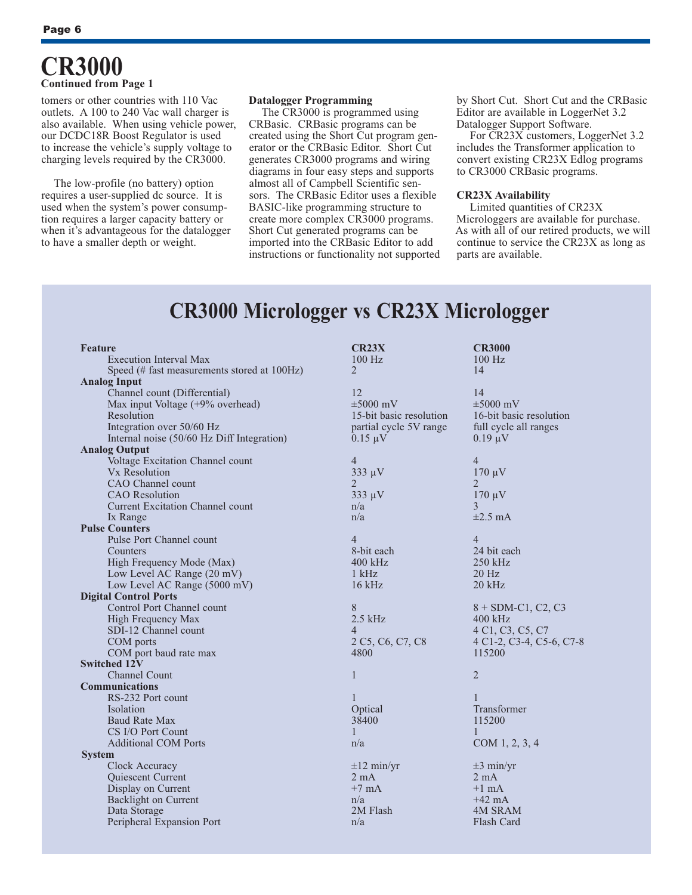#### **CR3000 Continued from Page 1**

tomers or other countries with 110 Vac outlets. A 100 to 240 Vac wall charger is also available. When using vehicle power, our DCDC18R Boost Regulator is used to increase the vehicle's supply voltage to charging levels required by the CR3000.

The low-profile (no battery) option requires a user-supplied dc source. It is used when the system's power consumption requires a larger capacity battery or when it's advantageous for the datalogger to have a smaller depth or weight.

#### **Datalogger Programming**

The CR3000 is programmed using CRBasic. CRBasic programs can be created using the Short Cut program generator or the CRBasic Editor. Short Cut generates CR3000 programs and wiring diagrams in four easy steps and supports almost all of Campbell Scientific sensors. The CRBasic Editor uses a flexible BASIC-like programming structure to create more complex CR3000 programs. Short Cut generated programs can be imported into the CRBasic Editor to add instructions or functionality not supported by Short Cut. Short Cut and the CRBasic Editor are available in LoggerNet 3.2 Datalogger Support Software.

For CR23X customers, LoggerNet 3.2 includes the Transformer application to convert existing CR23X Edlog programs to CR3000 CRBasic programs.

#### **CR23X Availability**

Limited quantities of CR23X Microloggers are available for purchase. As with all of our retired products, we will continue to service the CR23X as long as parts are available.

#### **CR3000 Micrologger vs CR23X Micrologger**

| <b>Feature</b>                              | <b>CR23X</b>            | <b>CR3000</b>                                    |
|---------------------------------------------|-------------------------|--------------------------------------------------|
| <b>Execution Interval Max</b>               | $100$ Hz                | $100$ Hz                                         |
| Speed (# fast measurements stored at 100Hz) | 2                       | 14                                               |
| <b>Analog Input</b>                         |                         |                                                  |
| Channel count (Differential)                | 12                      | 14                                               |
| Max input Voltage (+9% overhead)            | $\pm 5000$ mV           | $\pm 5000$ mV                                    |
| Resolution                                  | 15-bit basic resolution | 16-bit basic resolution                          |
| Integration over 50/60 Hz                   | partial cycle 5V range  | full cycle all ranges                            |
| Internal noise (50/60 Hz Diff Integration)  | $0.15 \mu V$            | $0.19 \mu V$                                     |
| <b>Analog Output</b>                        |                         |                                                  |
| Voltage Excitation Channel count            | $\overline{4}$          | 4                                                |
| Vx Resolution                               | $333 \mu V$             | $170 \mu V$                                      |
| CAO Channel count                           | $\mathfrak{D}$          | $\mathfrak{D}$                                   |
| <b>CAO</b> Resolution                       | $333 \mu V$             | $170 \mu V$                                      |
| Current Excitation Channel count            | n/a                     | 3                                                |
| Ix Range                                    | n/a                     | $\pm 2.5$ mA                                     |
| <b>Pulse Counters</b>                       |                         |                                                  |
| Pulse Port Channel count                    | $\overline{4}$          | $\overline{4}$                                   |
| Counters                                    | 8-bit each              | 24 bit each                                      |
| High Frequency Mode (Max)                   | $400$ kHz               | 250 kHz                                          |
| Low Level AC Range (20 mV)                  | $1$ kHz                 | $20$ Hz                                          |
| Low Level AC Range (5000 mV)                | $16$ kHz                | $20$ kHz                                         |
| <b>Digital Control Ports</b>                |                         |                                                  |
| Control Port Channel count                  | 8                       | $8 + SDM - C1$ , C <sub>2</sub> , C <sub>3</sub> |
| High Frequency Max                          | $2.5$ kHz               | $400$ kHz                                        |
| SDI-12 Channel count                        | $\overline{4}$          | 4 C1, C3, C5, C7                                 |
| COM ports                                   | 2 C5, C6, C7, C8        | 4 C1-2, C3-4, C5-6, C7-8                         |
| COM port baud rate max                      | 4800                    | 115200                                           |
| Switched 12V                                |                         |                                                  |
| <b>Channel Count</b>                        | $\mathbf{1}$            | $\overline{2}$                                   |
| <b>Communications</b>                       |                         |                                                  |
| RS-232 Port count                           | 1                       | 1<br>Transformer                                 |
| Isolation                                   | Optical                 | 115200                                           |
| Baud Rate Max<br>CS I/O Port Count          | 38400<br>1              | 1                                                |
| <b>Additional COM Ports</b>                 |                         |                                                  |
|                                             | n/a                     | COM 1, 2, 3, 4                                   |
| <b>System</b><br>Clock Accuracy             | $\pm 12$ min/yr         | $\pm 3$ min/yr                                   |
| Quiescent Current                           | $2 \text{ mA}$          | $2 \text{ mA}$                                   |
| Display on Current                          | $+7$ mA                 | $+1$ mA                                          |
| Backlight on Current                        | n/a                     | $+42 \text{ mA}$                                 |
| Data Storage                                | 2M Flash                | <b>4M SRAM</b>                                   |
| Peripheral Expansion Port                   | n/a                     | Flash Card                                       |
|                                             |                         |                                                  |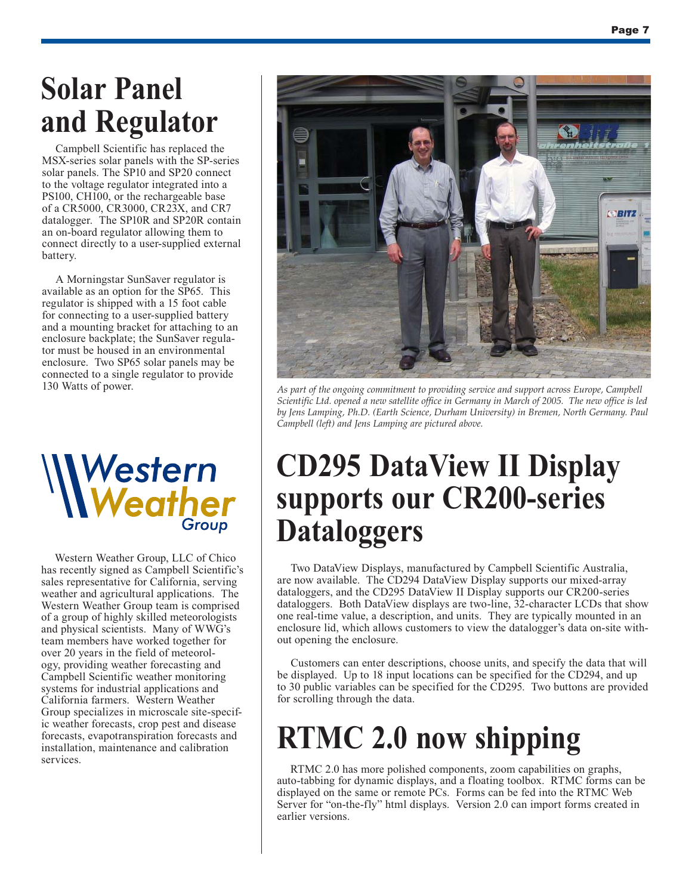### **Solar Panel and Regulator**

Campbell Scientific has replaced the MSX-series solar panels with the SP-series solar panels. The SP10 and SP20 connect to the voltage regulator integrated into a PS100, CH100, or the rechargeable base of a CR5000, CR3000, CR23X, and CR7 datalogger. The SP10R and SP20R contain an on-board regulator allowing them to connect directly to a user-supplied external battery.

A Morningstar SunSaver regulator is available as an option for the SP65. This regulator is shipped with a 15 foot cable for connecting to a user-supplied battery and a mounting bracket for attaching to an enclosure backplate; the SunSaver regulator must be housed in an environmental enclosure. Two SP65 solar panels may be connected to a single regulator to provide 130 Watts of power.



Western Weather Group, LLC of Chico has recently signed as Campbell Scientific's sales representative for California, serving weather and agricultural applications. The Western Weather Group team is comprised of a group of highly skilled meteorologists and physical scientists. Many of WWG's team members have worked together for over 20 years in the field of meteorology, providing weather forecasting and Campbell Scientific weather monitoring systems for industrial applications and California farmers. Western Weather Group specializes in microscale site-specific weather forecasts, crop pest and disease forecasts, evapotranspiration forecasts and installation, maintenance and calibration services.



*As part of the ongoing commitment to providing service and support across Europe, Campbell Scientific Ltd. opened a new satellite office in Germany in March of 2005. The new office is led by Jens Lamping, Ph.D. (Earth Science, Durham University) in Bremen, North Germany. Paul Campbell (left) and Jens Lamping are pictured above.* 

### **CD295 DataView II Display supports our CR200-series Dataloggers**

Two DataView Displays, manufactured by Campbell Scientific Australia, are now available. The CD294 DataView Display supports our mixed-array dataloggers, and the CD295 DataView II Display supports our CR200-series dataloggers. Both DataView displays are two-line, 32-character LCDs that show one real-time value, a description, and units. They are typically mounted in an enclosure lid, which allows customers to view the datalogger's data on-site without opening the enclosure.

Customers can enter descriptions, choose units, and specify the data that will be displayed. Up to 18 input locations can be specified for the CD294, and up to 30 public variables can be specified for the CD295. Two buttons are provided for scrolling through the data.

### **RTMC 2.0 now shipping**

RTMC 2.0 has more polished components, zoom capabilities on graphs, auto-tabbing for dynamic displays, and a floating toolbox. RTMC forms can be displayed on the same or remote PCs. Forms can be fed into the RTMC Web Server for "on-the-fly" html displays. Version 2.0 can import forms created in earlier versions.